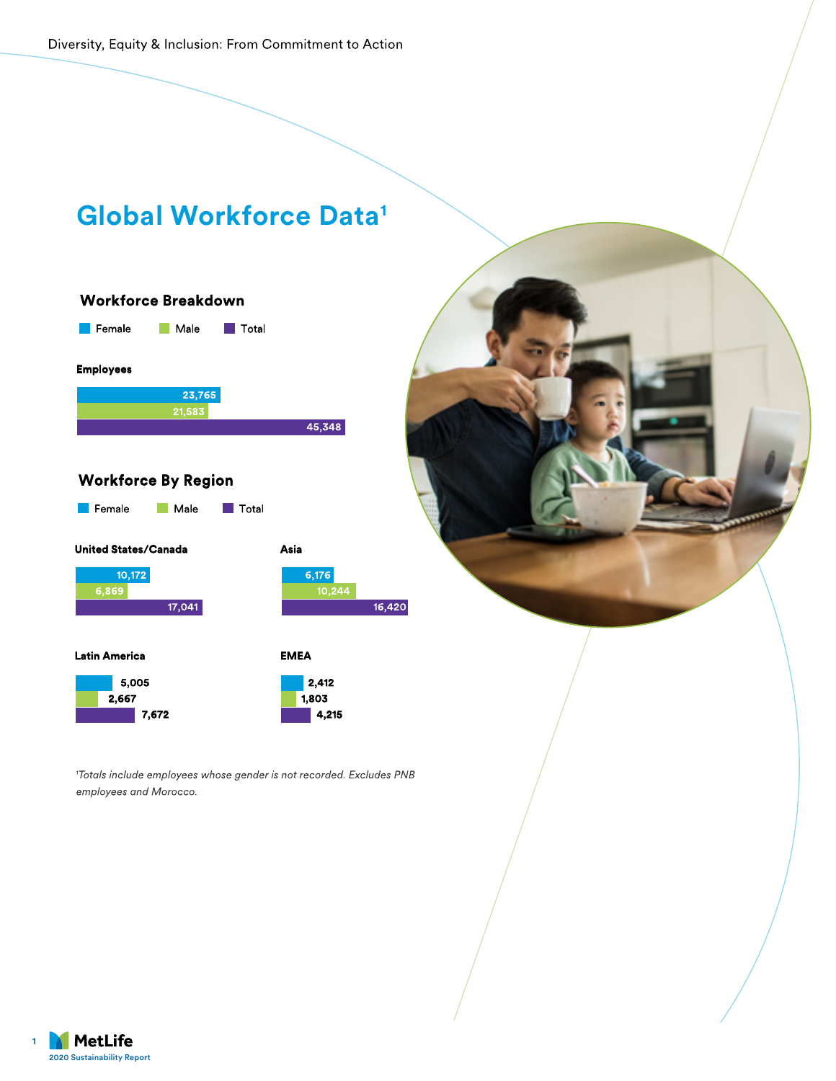Diversity, Equity & Inclusion: From Commitment to Action



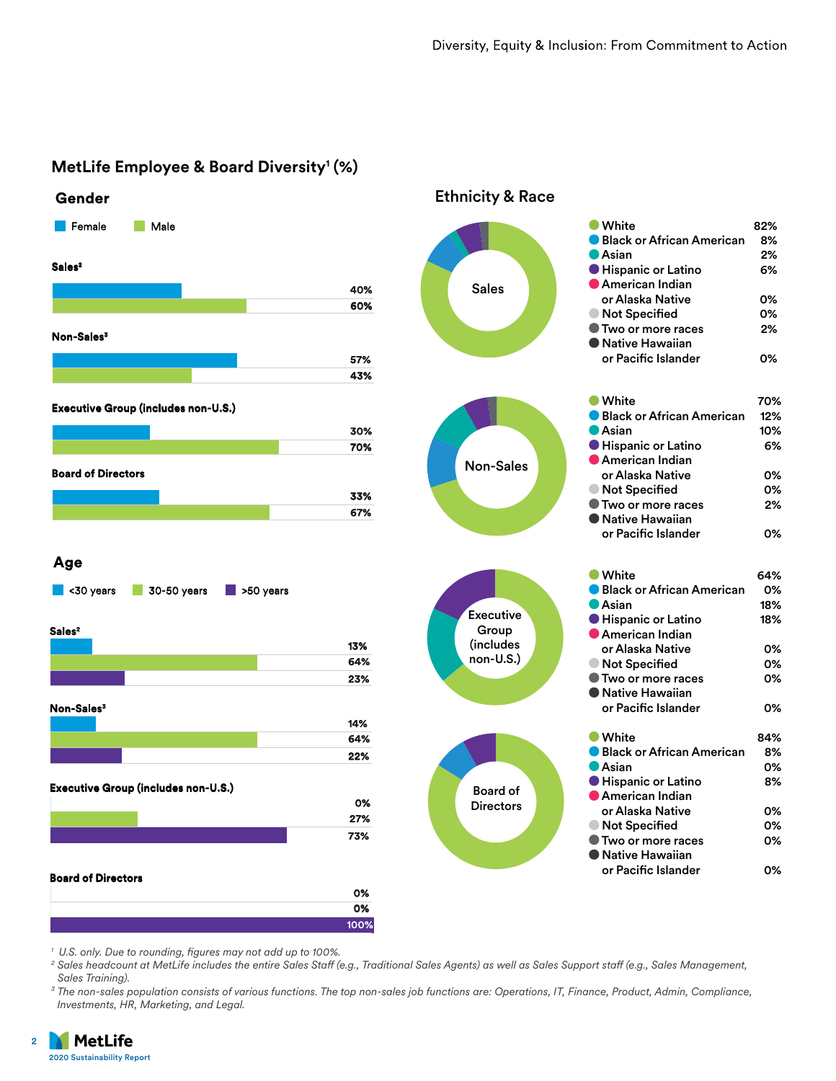



*1 U.S. only. Due to rounding, figures may not add up to 100%.* 

*<sup>2</sup> Sales headcount at MetLife includes the entire Sales Staff (e.g., Traditional Sales Agents) as well as Sales Support staff (e.g., Sales Management, Sales Training).*

*<sup>3</sup> The non-sales population consists of various functions. The top non-sales job functions are: Operations, IT, Finance, Product, Admin, Compliance, Investments, HR, Marketing, and Legal.*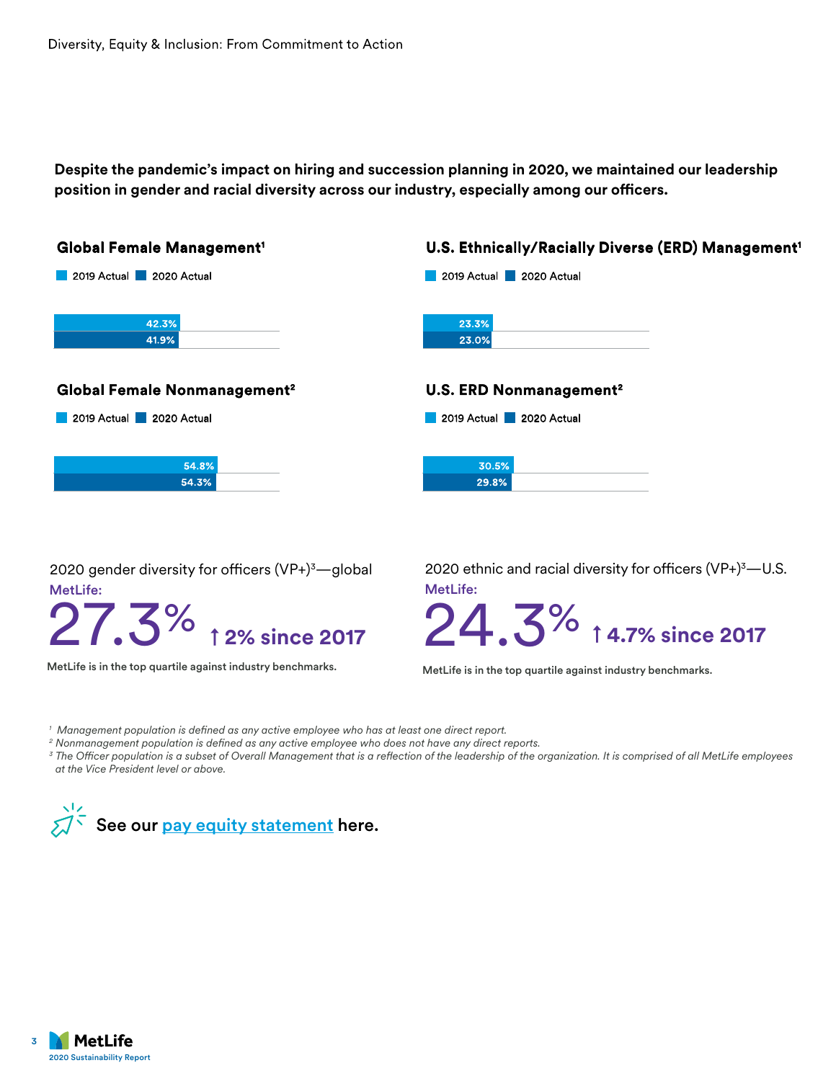**Despite the pandemic's impact on hiring and succession planning in 2020, we maintained our leadership position in gender and racial diversity across our industry, especially among our officers.**



2020 gender diversity for officers (VP+)3 —global MetLife:

**1.5%** ↑ 2% since 20

MetLife is in the top quartile against industry benchmarks. MetLife is in the top quartile against industry benchmarks.

MetLife: 2020 ethnic and racial diversity for officers  $(VP+)$ <sup>3</sup>—U.S.



*1 Management population is defined as any active employee who has at least one direct report.*

*<sup>2</sup> Nonmanagement population is defined as any active employee who does not have any direct reports.*

*<sup>3</sup> The Officer population is a subset of Overall Management that is a reflection of the leadership of the organization. It is comprised of all MetLife employees at the Vice President level or above.*